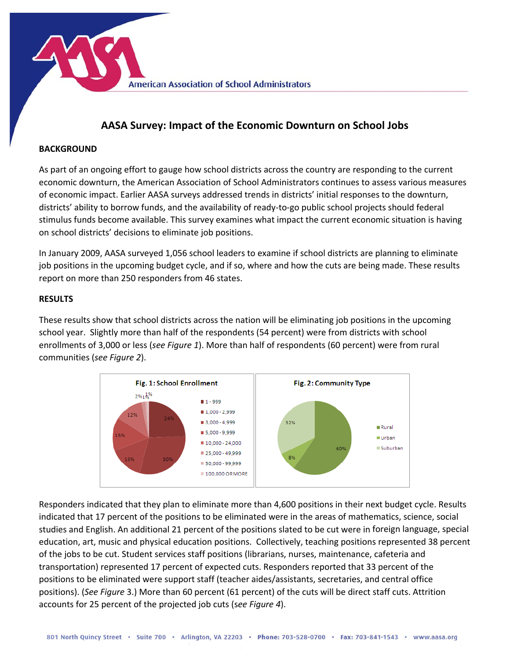**American Association of School Administrators** 

## **AASA Survey: Impact of the Economic Downturn on School Jobs**

## **BACKGROUND**

As part of an ongoing effort to gauge how school districts across the country are responding to the current economic downturn, the American Association of School Administrators continues to assess various measures of economic impact. Earlier AASA surveys addressed trends in districts' initial responses to the downturn, districts' ability to borrow funds, and the availability of ready‐to‐go public school projects should federal stimulus funds become available. This survey examines what impact the current economic situation is having on school districts' decisions to eliminate job positions.

In January 2009, AASA surveyed 1,056 school leaders to examine if school districts are planning to eliminate job positions in the upcoming budget cycle, and if so, where and how the cuts are being made. These results report on more than 250 responders from 46 states.

## **RESULTS**

These results show that school districts across the nation will be eliminating job positions in the upcoming school year. Slightly more than half of the respondents (54 percent) were from districts with school enrollments of 3,000 or less (*see Figure 1*). More than half of respondents (60 percent) were from rural communities (*see Figure 2*).



Responders indicated that they plan to eliminate more than 4,600 positions in their next budget cycle. Results indicated that 17 percent of the positions to be eliminated were in the areas of mathematics, science, social studies and English. An additional 21 percent of the positions slated to be cut were in foreign language, special education, art, music and physical education positions. Collectively, teaching positions represented 38 percent of the jobs to be cut. Student services staff positions (librarians, nurses, maintenance, cafeteria and transportation) represented 17 percent of expected cuts. Responders reported that 33 percent of the positions to be eliminated were support staff (teacher aides/assistants, secretaries, and central office positions). (*See Figure* 3.) More than 60 percent (61 percent) of the cuts will be direct staff cuts. Attrition accounts for 25 percent of the projected job cuts (s*ee Figure 4*).